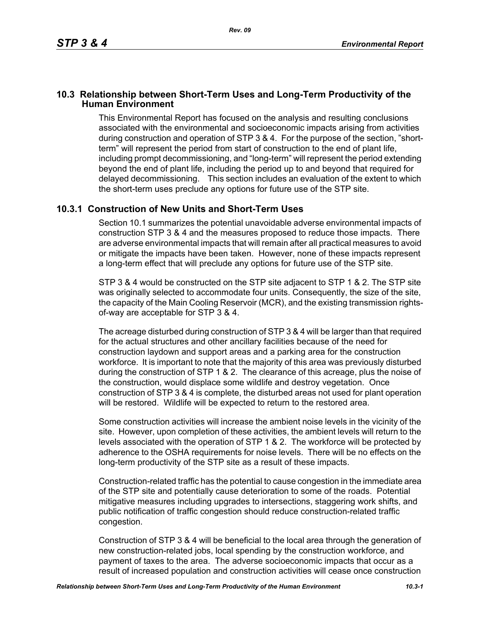## **10.3 Relationship between Short-Term Uses and Long-Term Productivity of the Human Environment**

This Environmental Report has focused on the analysis and resulting conclusions associated with the environmental and socioeconomic impacts arising from activities during construction and operation of STP 3 & 4. For the purpose of the section, "shortterm" will represent the period from start of construction to the end of plant life, including prompt decommissioning, and "long-term" will represent the period extending beyond the end of plant life, including the period up to and beyond that required for delayed decommissioning. This section includes an evaluation of the extent to which the short-term uses preclude any options for future use of the STP site.

## **10.3.1 Construction of New Units and Short-Term Uses**

Section 10.1 summarizes the potential unavoidable adverse environmental impacts of construction STP 3 & 4 and the measures proposed to reduce those impacts. There are adverse environmental impacts that will remain after all practical measures to avoid or mitigate the impacts have been taken. However, none of these impacts represent a long-term effect that will preclude any options for future use of the STP site.

STP 3 & 4 would be constructed on the STP site adjacent to STP 1 & 2. The STP site was originally selected to accommodate four units. Consequently, the size of the site, the capacity of the Main Cooling Reservoir (MCR), and the existing transmission rightsof-way are acceptable for STP 3 & 4.

The acreage disturbed during construction of STP 3 & 4 will be larger than that required for the actual structures and other ancillary facilities because of the need for construction laydown and support areas and a parking area for the construction workforce. It is important to note that the majority of this area was previously disturbed during the construction of STP 1 & 2. The clearance of this acreage, plus the noise of the construction, would displace some wildlife and destroy vegetation. Once construction of STP 3 & 4 is complete, the disturbed areas not used for plant operation will be restored. Wildlife will be expected to return to the restored area.

Some construction activities will increase the ambient noise levels in the vicinity of the site. However, upon completion of these activities, the ambient levels will return to the levels associated with the operation of STP 1 & 2. The workforce will be protected by adherence to the OSHA requirements for noise levels. There will be no effects on the long-term productivity of the STP site as a result of these impacts.

Construction-related traffic has the potential to cause congestion in the immediate area of the STP site and potentially cause deterioration to some of the roads. Potential mitigative measures including upgrades to intersections, staggering work shifts, and public notification of traffic congestion should reduce construction-related traffic congestion.

Construction of STP 3 & 4 will be beneficial to the local area through the generation of new construction-related jobs, local spending by the construction workforce, and payment of taxes to the area. The adverse socioeconomic impacts that occur as a result of increased population and construction activities will cease once construction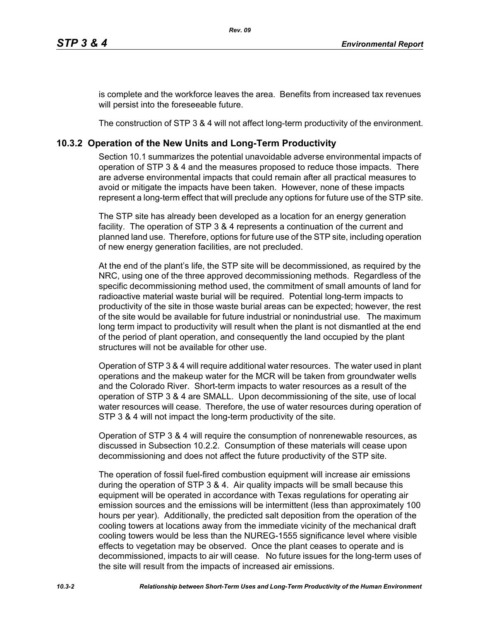is complete and the workforce leaves the area. Benefits from increased tax revenues will persist into the foreseeable future.

The construction of STP 3 & 4 will not affect long-term productivity of the environment.

## **10.3.2 Operation of the New Units and Long-Term Productivity**

Section 10.1 summarizes the potential unavoidable adverse environmental impacts of operation of STP 3 & 4 and the measures proposed to reduce those impacts. There are adverse environmental impacts that could remain after all practical measures to avoid or mitigate the impacts have been taken. However, none of these impacts represent a long-term effect that will preclude any options for future use of the STP site.

The STP site has already been developed as a location for an energy generation facility. The operation of STP 3 & 4 represents a continuation of the current and planned land use. Therefore, options for future use of the STP site, including operation of new energy generation facilities, are not precluded.

At the end of the plant's life, the STP site will be decommissioned, as required by the NRC, using one of the three approved decommissioning methods. Regardless of the specific decommissioning method used, the commitment of small amounts of land for radioactive material waste burial will be required. Potential long-term impacts to productivity of the site in those waste burial areas can be expected; however, the rest of the site would be available for future industrial or nonindustrial use. The maximum long term impact to productivity will result when the plant is not dismantled at the end of the period of plant operation, and consequently the land occupied by the plant structures will not be available for other use.

Operation of STP 3 & 4 will require additional water resources. The water used in plant operations and the makeup water for the MCR will be taken from groundwater wells and the Colorado River. Short-term impacts to water resources as a result of the operation of STP 3 & 4 are SMALL. Upon decommissioning of the site, use of local water resources will cease. Therefore, the use of water resources during operation of STP 3 & 4 will not impact the long-term productivity of the site.

Operation of STP 3 & 4 will require the consumption of nonrenewable resources, as discussed in Subsection 10.2.2. Consumption of these materials will cease upon decommissioning and does not affect the future productivity of the STP site.

The operation of fossil fuel-fired combustion equipment will increase air emissions during the operation of STP 3 & 4. Air quality impacts will be small because this equipment will be operated in accordance with Texas regulations for operating air emission sources and the emissions will be intermittent (less than approximately 100 hours per year). Additionally, the predicted salt deposition from the operation of the cooling towers at locations away from the immediate vicinity of the mechanical draft cooling towers would be less than the NUREG-1555 significance level where visible effects to vegetation may be observed. Once the plant ceases to operate and is decommissioned, impacts to air will cease. No future issues for the long-term uses of the site will result from the impacts of increased air emissions.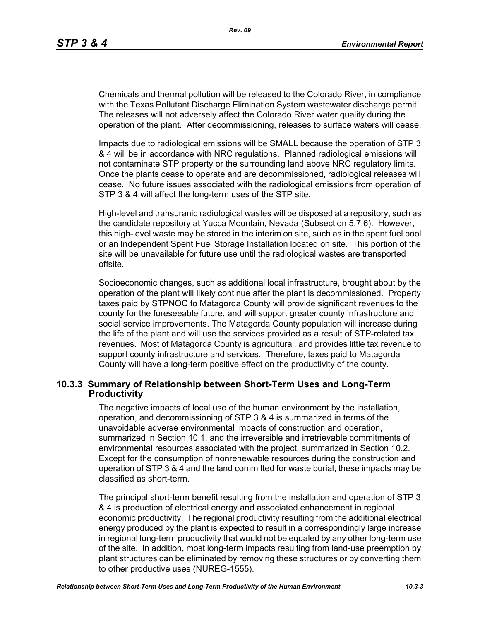Chemicals and thermal pollution will be released to the Colorado River, in compliance with the Texas Pollutant Discharge Elimination System wastewater discharge permit. The releases will not adversely affect the Colorado River water quality during the operation of the plant. After decommissioning, releases to surface waters will cease.

Impacts due to radiological emissions will be SMALL because the operation of STP 3 & 4 will be in accordance with NRC regulations. Planned radiological emissions will not contaminate STP property or the surrounding land above NRC regulatory limits. Once the plants cease to operate and are decommissioned, radiological releases will cease. No future issues associated with the radiological emissions from operation of STP 3 & 4 will affect the long-term uses of the STP site.

High-level and transuranic radiological wastes will be disposed at a repository, such as the candidate repository at Yucca Mountain, Nevada (Subsection 5.7.6). However, this high-level waste may be stored in the interim on site, such as in the spent fuel pool or an Independent Spent Fuel Storage Installation located on site. This portion of the site will be unavailable for future use until the radiological wastes are transported offsite.

Socioeconomic changes, such as additional local infrastructure, brought about by the operation of the plant will likely continue after the plant is decommissioned. Property taxes paid by STPNOC to Matagorda County will provide significant revenues to the county for the foreseeable future, and will support greater county infrastructure and social service improvements. The Matagorda County population will increase during the life of the plant and will use the services provided as a result of STP-related tax revenues. Most of Matagorda County is agricultural, and provides little tax revenue to support county infrastructure and services. Therefore, taxes paid to Matagorda County will have a long-term positive effect on the productivity of the county.

## **10.3.3 Summary of Relationship between Short-Term Uses and Long-Term Productivity**

The negative impacts of local use of the human environment by the installation, operation, and decommissioning of STP 3 & 4 is summarized in terms of the unavoidable adverse environmental impacts of construction and operation, summarized in Section 10.1, and the irreversible and irretrievable commitments of environmental resources associated with the project, summarized in Section 10.2. Except for the consumption of nonrenewable resources during the construction and operation of STP 3 & 4 and the land committed for waste burial, these impacts may be classified as short-term.

The principal short-term benefit resulting from the installation and operation of STP 3 & 4 is production of electrical energy and associated enhancement in regional economic productivity. The regional productivity resulting from the additional electrical energy produced by the plant is expected to result in a correspondingly large increase in regional long-term productivity that would not be equaled by any other long-term use of the site. In addition, most long-term impacts resulting from land-use preemption by plant structures can be eliminated by removing these structures or by converting them to other productive uses (NUREG-1555).